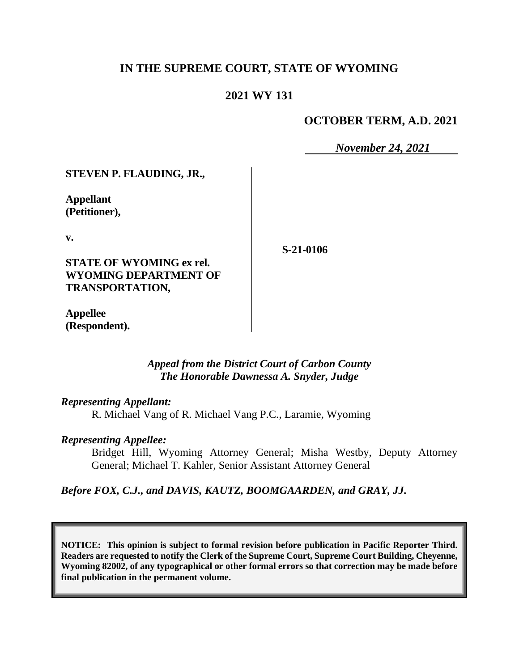# **IN THE SUPREME COURT, STATE OF WYOMING**

# **2021 WY 131**

# **OCTOBER TERM, A.D. 2021**

*November 24, 2021*

**STEVEN P. FLAUDING, JR.,**

**Appellant (Petitioner),**

**v.**

**STATE OF WYOMING ex rel. WYOMING DEPARTMENT OF TRANSPORTATION,**

**S-21-0106**

**Appellee (Respondent).**

#### *Appeal from the District Court of Carbon County The Honorable Dawnessa A. Snyder, Judge*

#### *Representing Appellant:*

R. Michael Vang of R. Michael Vang P.C., Laramie, Wyoming

#### *Representing Appellee:*

Bridget Hill, Wyoming Attorney General; Misha Westby, Deputy Attorney General; Michael T. Kahler, Senior Assistant Attorney General

*Before FOX, C.J., and DAVIS, KAUTZ, BOOMGAARDEN, and GRAY, JJ.*

**NOTICE: This opinion is subject to formal revision before publication in Pacific Reporter Third. Readers are requested to notify the Clerk of the Supreme Court, Supreme Court Building, Cheyenne, Wyoming 82002, of any typographical or other formal errors so that correction may be made before final publication in the permanent volume.**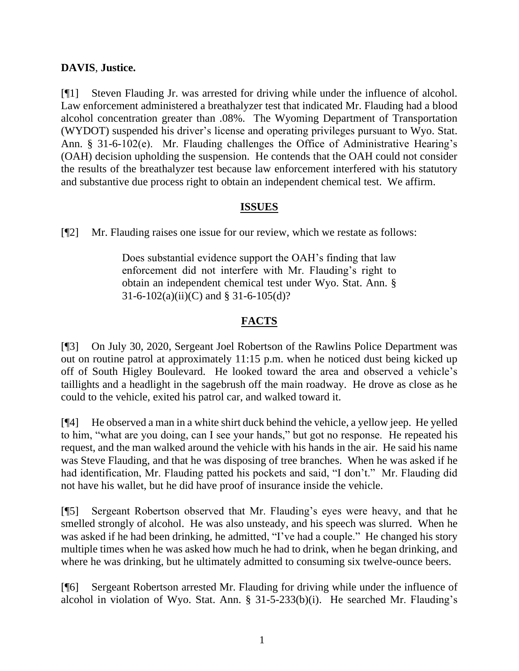# **DAVIS**, **Justice.**

[¶1] Steven Flauding Jr. was arrested for driving while under the influence of alcohol. Law enforcement administered a breathalyzer test that indicated Mr. Flauding had a blood alcohol concentration greater than .08%. The Wyoming Department of Transportation (WYDOT) suspended his driver's license and operating privileges pursuant to Wyo. Stat. Ann. § 31-6-102(e). Mr. Flauding challenges the Office of Administrative Hearing's (OAH) decision upholding the suspension. He contends that the OAH could not consider the results of the breathalyzer test because law enforcement interfered with his statutory and substantive due process right to obtain an independent chemical test. We affirm.

#### **ISSUES**

[¶2] Mr. Flauding raises one issue for our review, which we restate as follows:

Does substantial evidence support the OAH's finding that law enforcement did not interfere with Mr. Flauding's right to obtain an independent chemical test under Wyo. Stat. Ann. §  $31-6-102(a)(ii)(C)$  and § 31-6-105(d)?

# **FACTS**

[¶3] On July 30, 2020, Sergeant Joel Robertson of the Rawlins Police Department was out on routine patrol at approximately 11:15 p.m. when he noticed dust being kicked up off of South Higley Boulevard. He looked toward the area and observed a vehicle's taillights and a headlight in the sagebrush off the main roadway. He drove as close as he could to the vehicle, exited his patrol car, and walked toward it.

[¶4] He observed a man in a white shirt duck behind the vehicle, a yellow jeep. He yelled to him, "what are you doing, can I see your hands," but got no response. He repeated his request, and the man walked around the vehicle with his hands in the air. He said his name was Steve Flauding, and that he was disposing of tree branches. When he was asked if he had identification, Mr. Flauding patted his pockets and said, "I don't." Mr. Flauding did not have his wallet, but he did have proof of insurance inside the vehicle.

[¶5] Sergeant Robertson observed that Mr. Flauding's eyes were heavy, and that he smelled strongly of alcohol. He was also unsteady, and his speech was slurred. When he was asked if he had been drinking, he admitted, "I've had a couple." He changed his story multiple times when he was asked how much he had to drink, when he began drinking, and where he was drinking, but he ultimately admitted to consuming six twelve-ounce beers.

[¶6] Sergeant Robertson arrested Mr. Flauding for driving while under the influence of alcohol in violation of Wyo. Stat. Ann. § 31-5-233(b)(i). He searched Mr. Flauding's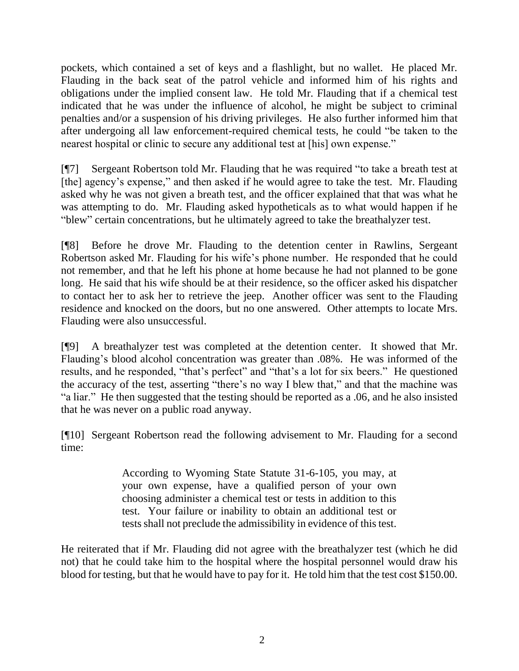pockets, which contained a set of keys and a flashlight, but no wallet. He placed Mr. Flauding in the back seat of the patrol vehicle and informed him of his rights and obligations under the implied consent law. He told Mr. Flauding that if a chemical test indicated that he was under the influence of alcohol, he might be subject to criminal penalties and/or a suspension of his driving privileges. He also further informed him that after undergoing all law enforcement-required chemical tests, he could "be taken to the nearest hospital or clinic to secure any additional test at [his] own expense."

[¶7] Sergeant Robertson told Mr. Flauding that he was required "to take a breath test at [the] agency's expense," and then asked if he would agree to take the test. Mr. Flauding asked why he was not given a breath test, and the officer explained that that was what he was attempting to do. Mr. Flauding asked hypotheticals as to what would happen if he "blew" certain concentrations, but he ultimately agreed to take the breathalyzer test.

[¶8] Before he drove Mr. Flauding to the detention center in Rawlins, Sergeant Robertson asked Mr. Flauding for his wife's phone number. He responded that he could not remember, and that he left his phone at home because he had not planned to be gone long. He said that his wife should be at their residence, so the officer asked his dispatcher to contact her to ask her to retrieve the jeep. Another officer was sent to the Flauding residence and knocked on the doors, but no one answered. Other attempts to locate Mrs. Flauding were also unsuccessful.

[¶9] A breathalyzer test was completed at the detention center. It showed that Mr. Flauding's blood alcohol concentration was greater than .08%. He was informed of the results, and he responded, "that's perfect" and "that's a lot for six beers." He questioned the accuracy of the test, asserting "there's no way I blew that," and that the machine was "a liar." He then suggested that the testing should be reported as a .06, and he also insisted that he was never on a public road anyway.

[¶10] Sergeant Robertson read the following advisement to Mr. Flauding for a second time:

> According to Wyoming State Statute 31-6-105, you may, at your own expense, have a qualified person of your own choosing administer a chemical test or tests in addition to this test. Your failure or inability to obtain an additional test or tests shall not preclude the admissibility in evidence of this test.

He reiterated that if Mr. Flauding did not agree with the breathalyzer test (which he did not) that he could take him to the hospital where the hospital personnel would draw his blood for testing, but that he would have to pay for it. He told him that the test cost \$150.00.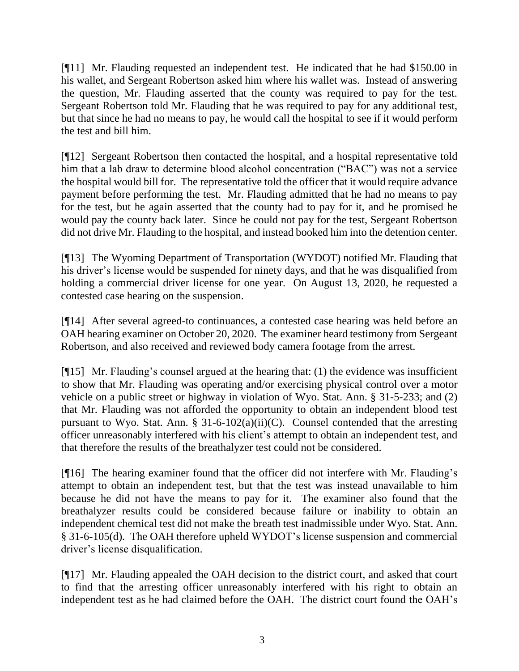[¶11] Mr. Flauding requested an independent test. He indicated that he had \$150.00 in his wallet, and Sergeant Robertson asked him where his wallet was. Instead of answering the question, Mr. Flauding asserted that the county was required to pay for the test. Sergeant Robertson told Mr. Flauding that he was required to pay for any additional test, but that since he had no means to pay, he would call the hospital to see if it would perform the test and bill him.

[¶12] Sergeant Robertson then contacted the hospital, and a hospital representative told him that a lab draw to determine blood alcohol concentration ("BAC") was not a service the hospital would bill for. The representative told the officer that it would require advance payment before performing the test. Mr. Flauding admitted that he had no means to pay for the test, but he again asserted that the county had to pay for it, and he promised he would pay the county back later. Since he could not pay for the test, Sergeant Robertson did not drive Mr. Flauding to the hospital, and instead booked him into the detention center.

[¶13] The Wyoming Department of Transportation (WYDOT) notified Mr. Flauding that his driver's license would be suspended for ninety days, and that he was disqualified from holding a commercial driver license for one year. On August 13, 2020, he requested a contested case hearing on the suspension.

[¶14] After several agreed-to continuances, a contested case hearing was held before an OAH hearing examiner on October 20, 2020. The examiner heard testimony from Sergeant Robertson, and also received and reviewed body camera footage from the arrest.

[¶15] Mr. Flauding's counsel argued at the hearing that: (1) the evidence was insufficient to show that Mr. Flauding was operating and/or exercising physical control over a motor vehicle on a public street or highway in violation of Wyo. Stat. Ann. § 31-5-233; and (2) that Mr. Flauding was not afforded the opportunity to obtain an independent blood test pursuant to Wyo. Stat. Ann. § 31-6-102(a)(ii)(C). Counsel contended that the arresting officer unreasonably interfered with his client's attempt to obtain an independent test, and that therefore the results of the breathalyzer test could not be considered.

[¶16] The hearing examiner found that the officer did not interfere with Mr. Flauding's attempt to obtain an independent test, but that the test was instead unavailable to him because he did not have the means to pay for it. The examiner also found that the breathalyzer results could be considered because failure or inability to obtain an independent chemical test did not make the breath test inadmissible under Wyo. Stat. Ann. § 31-6-105(d). The OAH therefore upheld WYDOT's license suspension and commercial driver's license disqualification.

[¶17] Mr. Flauding appealed the OAH decision to the district court, and asked that court to find that the arresting officer unreasonably interfered with his right to obtain an independent test as he had claimed before the OAH. The district court found the OAH's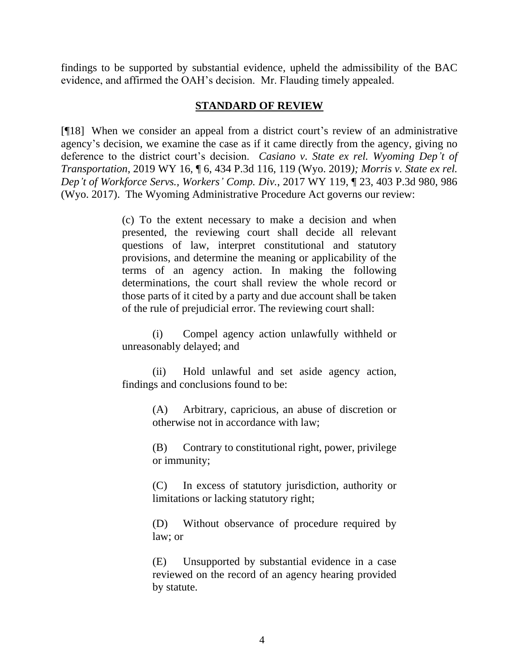findings to be supported by substantial evidence, upheld the admissibility of the BAC evidence, and affirmed the OAH's decision. Mr. Flauding timely appealed.

#### **STANDARD OF REVIEW**

[¶18] When we consider an appeal from a district court's review of an administrative agency's decision, we examine the case as if it came directly from the agency, giving no deference to the district court's decision. *Casiano v. State ex rel. Wyoming Dep't of Transportation*, 2019 WY 16, ¶ 6, 434 P.3d 116, 119 (Wyo. 2019*); Morris v. State ex rel. Dep't of Workforce Servs., Workers' Comp. Div.*, 2017 WY 119, ¶ 23, 403 P.3d 980, 986 (Wyo. 2017). The Wyoming Administrative Procedure Act governs our review:

> (c) To the extent necessary to make a decision and when presented, the reviewing court shall decide all relevant questions of law, interpret constitutional and statutory provisions, and determine the meaning or applicability of the terms of an agency action. In making the following determinations, the court shall review the whole record or those parts of it cited by a party and due account shall be taken of the rule of prejudicial error. The reviewing court shall:

> (i) Compel agency action unlawfully withheld or unreasonably delayed; and

> (ii) Hold unlawful and set aside agency action, findings and conclusions found to be:

> > (A) Arbitrary, capricious, an abuse of discretion or otherwise not in accordance with law;

> > (B) Contrary to constitutional right, power, privilege or immunity;

> > (C) In excess of statutory jurisdiction, authority or limitations or lacking statutory right;

> > (D) Without observance of procedure required by law; or

> > (E) Unsupported by substantial evidence in a case reviewed on the record of an agency hearing provided by statute.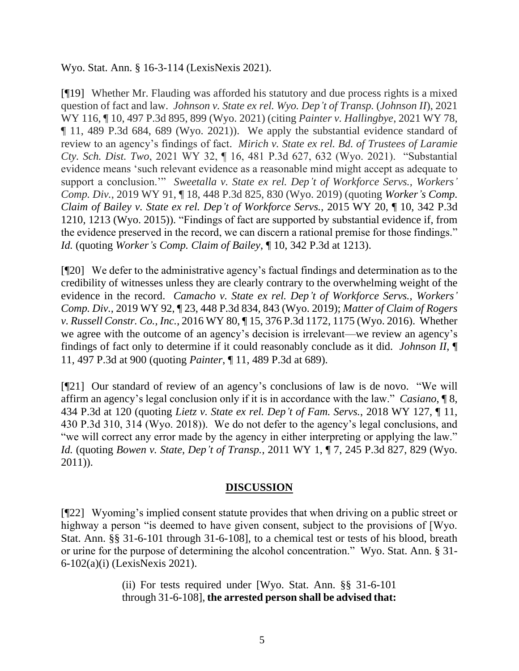Wyo. Stat. Ann. § 16-3-114 (LexisNexis 2021).

[¶19] Whether Mr. Flauding was afforded his statutory and due process rights is a mixed question of fact and law. *Johnson v. State ex rel. Wyo. Dep't of Transp.* (*Johnson II*), 2021 WY 116, ¶ 10, 497 P.3d 895, 899 (Wyo. 2021) (citing *Painter v. Hallingbye*, 2021 WY 78, ¶ 11, 489 P.3d 684, 689 (Wyo. 2021)). We apply the substantial evidence standard of review to an agency's findings of fact. *Mirich v. State ex rel. Bd. of Trustees of Laramie Cty. Sch. Dist. Two*, 2021 WY 32, ¶ 16, 481 P.3d 627, 632 (Wyo. 2021). "Substantial evidence means 'such relevant evidence as a reasonable mind might accept as adequate to support a conclusion.'" *Sweetalla v. State ex rel. Dep't of Workforce Servs., Workers' Comp. Div.*, 2019 WY 91, ¶ 18, 448 P.3d 825, 830 (Wyo. 2019) (quoting *Worker's Comp. Claim of Bailey v. State ex rel. Dep't of Workforce Servs.*, 2015 WY 20, ¶ 10, 342 P.3d 1210, 1213 (Wyo. 2015)). "Findings of fact are supported by substantial evidence if, from the evidence preserved in the record, we can discern a rational premise for those findings." *Id.* (quoting *Worker's Comp. Claim of Bailey*, ¶ 10, 342 P.3d at 1213).

[¶20] We defer to the administrative agency's factual findings and determination as to the credibility of witnesses unless they are clearly contrary to the overwhelming weight of the evidence in the record. *Camacho v. State ex rel. Dep't of Workforce Servs., Workers' Comp. Div.*, 2019 WY 92, ¶ 23, 448 P.3d 834, 843 (Wyo. 2019); *Matter of Claim of Rogers v. Russell Constr. Co., Inc.*, 2016 WY 80, ¶ 15, 376 P.3d 1172, 1175 (Wyo. 2016). Whether we agree with the outcome of an agency's decision is irrelevant—we review an agency's findings of fact only to determine if it could reasonably conclude as it did. *Johnson II*, ¶ 11, 497 P.3d at 900 (quoting *Painter*, ¶ 11, 489 P.3d at 689).

[¶21] Our standard of review of an agency's conclusions of law is de novo. "We will affirm an agency's legal conclusion only if it is in accordance with the law." *Casiano*, ¶ 8, 434 P.3d at 120 (quoting *Lietz v. State ex rel. Dep't of Fam. Servs.*, 2018 WY 127, ¶ 11, 430 P.3d 310, 314 (Wyo. 2018)). We do not defer to the agency's legal conclusions, and "we will correct any error made by the agency in either interpreting or applying the law." *Id.* (quoting *Bowen v. State, Dep't of Transp.*, 2011 WY 1, ¶ 7, 245 P.3d 827, 829 (Wyo. 2011)).

# **DISCUSSION**

[¶22] Wyoming's implied consent statute provides that when driving on a public street or highway a person "is deemed to have given consent, subject to the provisions of [Wyo. Stat. Ann. §§ 31-6-101 through 31-6-108], to a chemical test or tests of his blood, breath or urine for the purpose of determining the alcohol concentration." Wyo. Stat. Ann. § 31- 6-102(a)(i) (LexisNexis 2021).

> (ii) For tests required under [Wyo. Stat. Ann. §§ 31-6-101 through 31-6-108], **the arrested person shall be advised that:**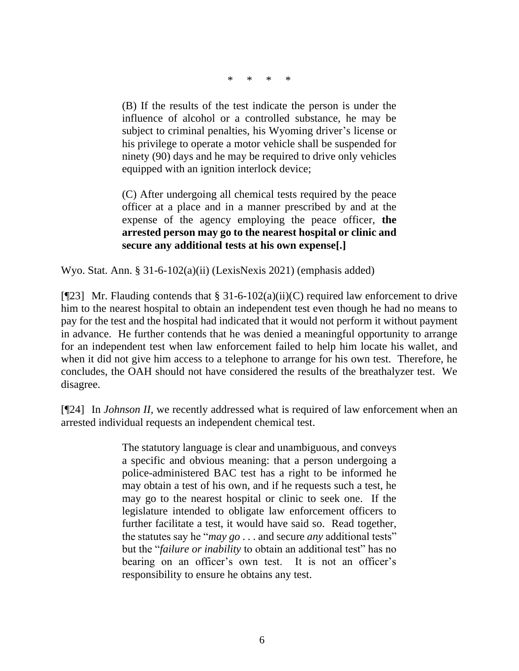\* \* \* \*

(B) If the results of the test indicate the person is under the influence of alcohol or a controlled substance, he may be subject to criminal penalties, his Wyoming driver's license or his privilege to operate a motor vehicle shall be suspended for ninety (90) days and he may be required to drive only vehicles equipped with an ignition interlock device;

(C) After undergoing all chemical tests required by the peace officer at a place and in a manner prescribed by and at the expense of the agency employing the peace officer, **the arrested person may go to the nearest hospital or clinic and secure any additional tests at his own expense[.]**

Wyo. Stat. Ann. § 31-6-102(a)(ii) (LexisNexis 2021) (emphasis added)

[ $[$ [23] Mr. Flauding contends that § 31-6-102(a)(ii)(C) required law enforcement to drive him to the nearest hospital to obtain an independent test even though he had no means to pay for the test and the hospital had indicated that it would not perform it without payment in advance. He further contends that he was denied a meaningful opportunity to arrange for an independent test when law enforcement failed to help him locate his wallet, and when it did not give him access to a telephone to arrange for his own test. Therefore, he concludes, the OAH should not have considered the results of the breathalyzer test. We disagree.

[¶24] In *Johnson II,* we recently addressed what is required of law enforcement when an arrested individual requests an independent chemical test.

> The statutory language is clear and unambiguous, and conveys a specific and obvious meaning: that a person undergoing a police-administered BAC test has a right to be informed he may obtain a test of his own, and if he requests such a test, he may go to the nearest hospital or clinic to seek one. If the legislature intended to obligate law enforcement officers to further facilitate a test, it would have said so. Read together, the statutes say he "*may go* . . . and secure *any* additional tests" but the "*failure or inability* to obtain an additional test" has no bearing on an officer's own test. It is not an officer's responsibility to ensure he obtains any test.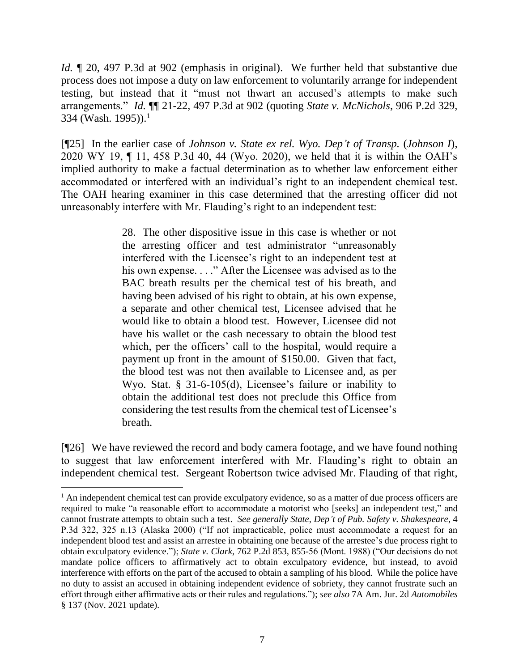*Id.* ¶ 20, 497 P.3d at 902 (emphasis in original).We further held that substantive due process does not impose a duty on law enforcement to voluntarily arrange for independent testing, but instead that it "must not thwart an accused's attempts to make such arrangements." *Id.* ¶¶ 21-22, 497 P.3d at 902 (quoting *State v. McNichols*, 906 P.2d 329, 334 (Wash. 1995)). 1

[¶25] In the earlier case of *Johnson v. State ex rel. Wyo. Dep't of Transp.* (*Johnson I*), 2020 WY 19, ¶ 11, 458 P.3d 40, 44 (Wyo. 2020), we held that it is within the OAH's implied authority to make a factual determination as to whether law enforcement either accommodated or interfered with an individual's right to an independent chemical test. The OAH hearing examiner in this case determined that the arresting officer did not unreasonably interfere with Mr. Flauding's right to an independent test:

> 28. The other dispositive issue in this case is whether or not the arresting officer and test administrator "unreasonably interfered with the Licensee's right to an independent test at his own expense. . . ." After the Licensee was advised as to the BAC breath results per the chemical test of his breath, and having been advised of his right to obtain, at his own expense, a separate and other chemical test, Licensee advised that he would like to obtain a blood test. However, Licensee did not have his wallet or the cash necessary to obtain the blood test which, per the officers' call to the hospital, would require a payment up front in the amount of \$150.00. Given that fact, the blood test was not then available to Licensee and, as per Wyo. Stat. § 31-6-105(d), Licensee's failure or inability to obtain the additional test does not preclude this Office from considering the test results from the chemical test of Licensee's breath.

[¶26] We have reviewed the record and body camera footage, and we have found nothing to suggest that law enforcement interfered with Mr. Flauding's right to obtain an independent chemical test. Sergeant Robertson twice advised Mr. Flauding of that right,

<sup>&</sup>lt;sup>1</sup> An independent chemical test can provide exculpatory evidence, so as a matter of due process officers are required to make "a reasonable effort to accommodate a motorist who [seeks] an independent test," and cannot frustrate attempts to obtain such a test. *See generally State, Dep't of Pub. Safety v. Shakespeare*, 4 P.3d 322, 325 n.13 (Alaska 2000) ("If not impracticable, police must accommodate a request for an independent blood test and assist an arrestee in obtaining one because of the arrestee's due process right to obtain exculpatory evidence."); *State v. Clark*, 762 P.2d 853, 855-56 (Mont. 1988) ("Our decisions do not mandate police officers to affirmatively act to obtain exculpatory evidence, but instead, to avoid interference with efforts on the part of the accused to obtain a sampling of his blood. While the police have no duty to assist an accused in obtaining independent evidence of sobriety, they cannot frustrate such an effort through either affirmative acts or their rules and regulations."); *see also* 7A Am. Jur. 2d *Automobiles* § 137 (Nov. 2021 update).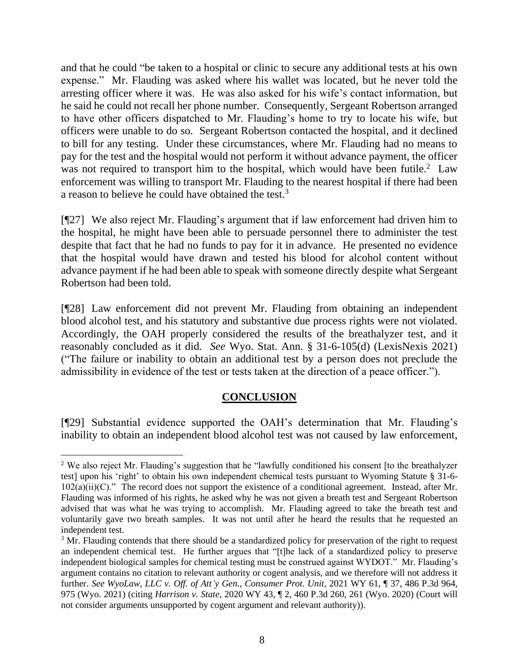and that he could "be taken to a hospital or clinic to secure any additional tests at his own expense." Mr. Flauding was asked where his wallet was located, but he never told the arresting officer where it was. He was also asked for his wife's contact information, but he said he could not recall her phone number. Consequently, Sergeant Robertson arranged to have other officers dispatched to Mr. Flauding's home to try to locate his wife, but officers were unable to do so. Sergeant Robertson contacted the hospital, and it declined to bill for any testing. Under these circumstances, where Mr. Flauding had no means to pay for the test and the hospital would not perform it without advance payment, the officer was not required to transport him to the hospital, which would have been futile.<sup>2</sup> Law enforcement was willing to transport Mr. Flauding to the nearest hospital if there had been a reason to believe he could have obtained the test.<sup>3</sup>

[¶27] We also reject Mr. Flauding's argument that if law enforcement had driven him to the hospital, he might have been able to persuade personnel there to administer the test despite that fact that he had no funds to pay for it in advance. He presented no evidence that the hospital would have drawn and tested his blood for alcohol content without advance payment if he had been able to speak with someone directly despite what Sergeant Robertson had been told.

[¶28] Law enforcement did not prevent Mr. Flauding from obtaining an independent blood alcohol test, and his statutory and substantive due process rights were not violated. Accordingly, the OAH properly considered the results of the breathalyzer test, and it reasonably concluded as it did. *See* Wyo. Stat. Ann. § 31-6-105(d) (LexisNexis 2021) ("The failure or inability to obtain an additional test by a person does not preclude the admissibility in evidence of the test or tests taken at the direction of a peace officer.").

# **CONCLUSION**

[¶29] Substantial evidence supported the OAH's determination that Mr. Flauding's inability to obtain an independent blood alcohol test was not caused by law enforcement,

<sup>&</sup>lt;sup>2</sup> We also reject Mr. Flauding's suggestion that he "lawfully conditioned his consent [to the breathalyzer test] upon his 'right' to obtain his own independent chemical tests pursuant to Wyoming Statute § 31-6-  $102(a)(ii)(C)$ ." The record does not support the existence of a conditional agreement. Instead, after Mr. Flauding was informed of his rights, he asked why he was not given a breath test and Sergeant Robertson advised that was what he was trying to accomplish. Mr. Flauding agreed to take the breath test and voluntarily gave two breath samples. It was not until after he heard the results that he requested an independent test.

<sup>&</sup>lt;sup>3</sup> Mr. Flauding contends that there should be a standardized policy for preservation of the right to request an independent chemical test. He further argues that "[t]he lack of a standardized policy to preserve independent biological samples for chemical testing must be construed against WYDOT." Mr. Flauding's argument contains no citation to relevant authority or cogent analysis, and we therefore will not address it further. *See WyoLaw, LLC v. Off. of Att'y Gen., Consumer Prot. Unit*, 2021 WY 61, ¶ 37, 486 P.3d 964, 975 (Wyo. 2021) (citing *Harrison v. State*, 2020 WY 43, ¶ 2, 460 P.3d 260, 261 (Wyo. 2020) (Court will not consider arguments unsupported by cogent argument and relevant authority)).